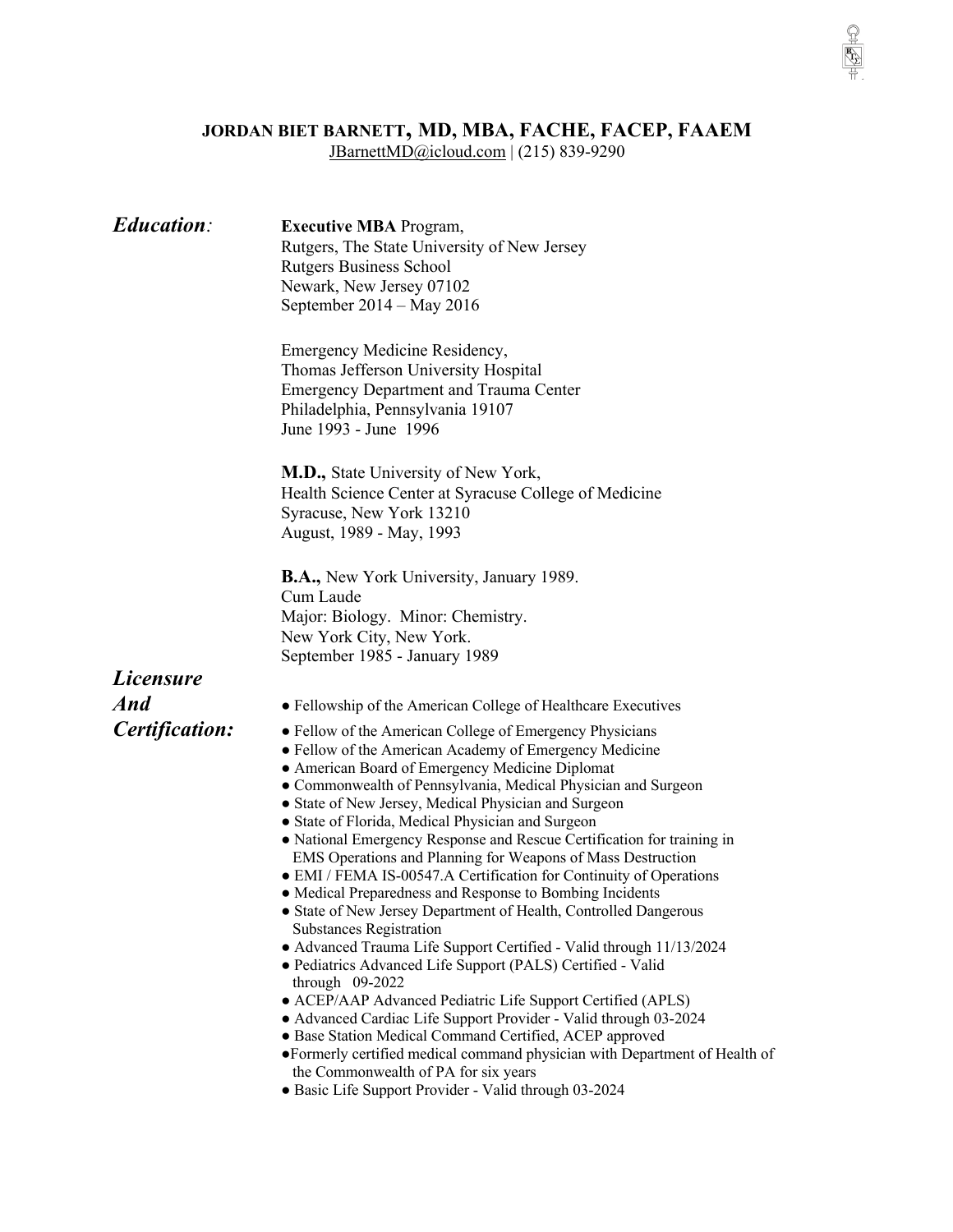## **JORDAN BIET BARNETT, MD, MBA, FACHE, FACEP, FAAEM**

 $\frac{1}{\sqrt{2}}$ 

JBarnettMD@icloud.com | (215) 839-9290

| <b>Education:</b> | <b>Executive MBA</b> Program,<br>Rutgers, The State University of New Jersey<br><b>Rutgers Business School</b><br>Newark, New Jersey 07102<br>September 2014 - May 2016                                                                                                                                                                                                                                                                                                                                                                                                                                                                                                                                                                                                                                                                                                                                                                                                                                                                                                                                                                                                                                                                                                      |
|-------------------|------------------------------------------------------------------------------------------------------------------------------------------------------------------------------------------------------------------------------------------------------------------------------------------------------------------------------------------------------------------------------------------------------------------------------------------------------------------------------------------------------------------------------------------------------------------------------------------------------------------------------------------------------------------------------------------------------------------------------------------------------------------------------------------------------------------------------------------------------------------------------------------------------------------------------------------------------------------------------------------------------------------------------------------------------------------------------------------------------------------------------------------------------------------------------------------------------------------------------------------------------------------------------|
|                   | Emergency Medicine Residency,<br>Thomas Jefferson University Hospital<br><b>Emergency Department and Trauma Center</b><br>Philadelphia, Pennsylvania 19107<br>June 1993 - June 1996                                                                                                                                                                                                                                                                                                                                                                                                                                                                                                                                                                                                                                                                                                                                                                                                                                                                                                                                                                                                                                                                                          |
|                   | <b>M.D.,</b> State University of New York,<br>Health Science Center at Syracuse College of Medicine<br>Syracuse, New York 13210<br>August, 1989 - May, 1993                                                                                                                                                                                                                                                                                                                                                                                                                                                                                                                                                                                                                                                                                                                                                                                                                                                                                                                                                                                                                                                                                                                  |
|                   | <b>B.A.,</b> New York University, January 1989.<br>Cum Laude<br>Major: Biology. Minor: Chemistry.<br>New York City, New York.<br>September 1985 - January 1989                                                                                                                                                                                                                                                                                                                                                                                                                                                                                                                                                                                                                                                                                                                                                                                                                                                                                                                                                                                                                                                                                                               |
| <i>Licensure</i>  |                                                                                                                                                                                                                                                                                                                                                                                                                                                                                                                                                                                                                                                                                                                                                                                                                                                                                                                                                                                                                                                                                                                                                                                                                                                                              |
| And               | • Fellowship of the American College of Healthcare Executives                                                                                                                                                                                                                                                                                                                                                                                                                                                                                                                                                                                                                                                                                                                                                                                                                                                                                                                                                                                                                                                                                                                                                                                                                |
| Certification:    | • Fellow of the American College of Emergency Physicians<br>• Fellow of the American Academy of Emergency Medicine<br>• American Board of Emergency Medicine Diplomat<br>• Commonwealth of Pennsylvania, Medical Physician and Surgeon<br>• State of New Jersey, Medical Physician and Surgeon<br>• State of Florida, Medical Physician and Surgeon<br>• National Emergency Response and Rescue Certification for training in<br>EMS Operations and Planning for Weapons of Mass Destruction<br>• EMI / FEMA IS-00547.A Certification for Continuity of Operations<br>• Medical Preparedness and Response to Bombing Incidents<br>• State of New Jersey Department of Health, Controlled Dangerous<br><b>Substances Registration</b><br>• Advanced Trauma Life Support Certified - Valid through 11/13/2024<br>· Pediatrics Advanced Life Support (PALS) Certified - Valid<br>through $09-2022$<br>• ACEP/AAP Advanced Pediatric Life Support Certified (APLS)<br>• Advanced Cardiac Life Support Provider - Valid through 03-2024<br>• Base Station Medical Command Certified, ACEP approved<br>•Formerly certified medical command physician with Department of Health of<br>the Commonwealth of PA for six years<br>· Basic Life Support Provider - Valid through 03-2024 |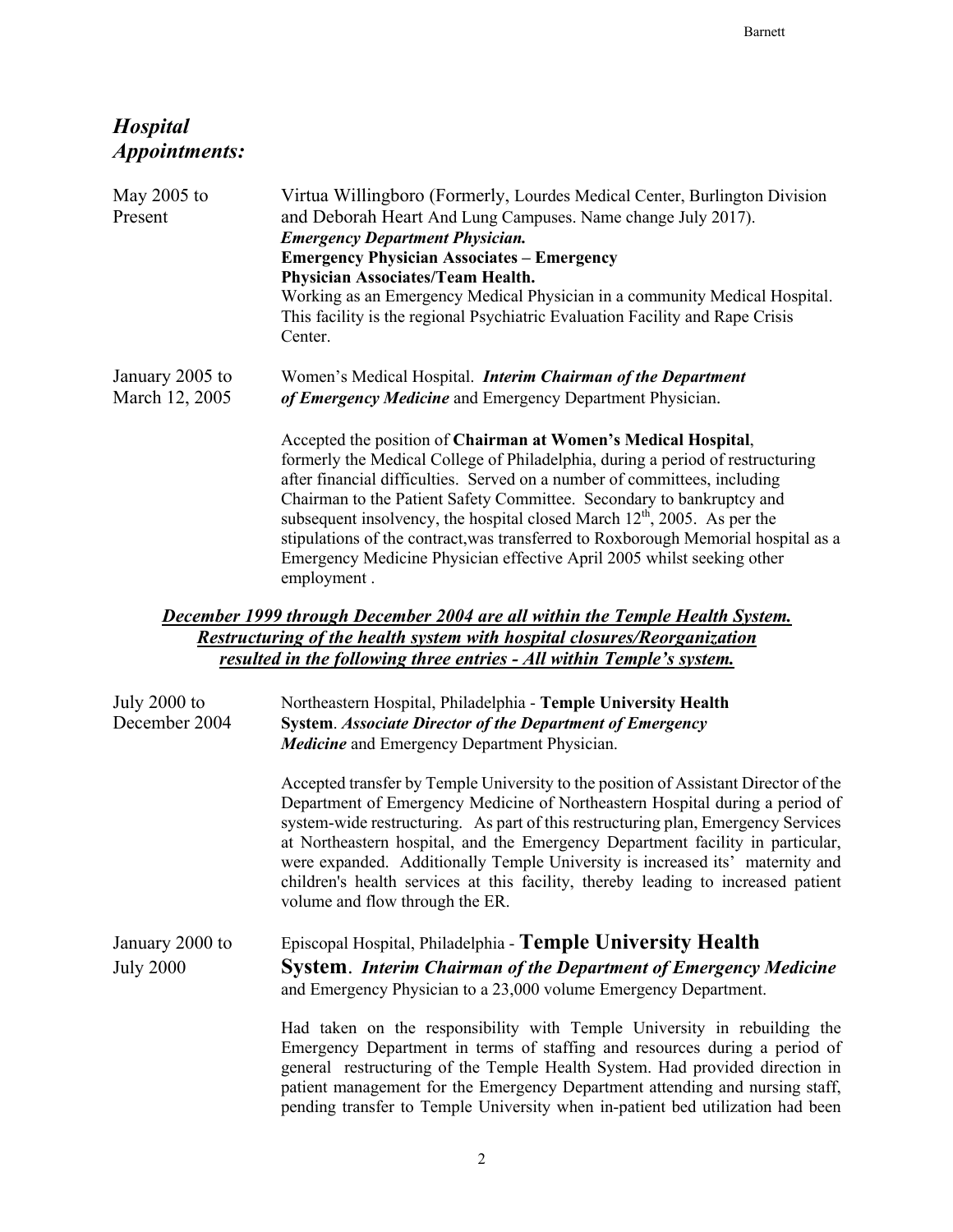## *Hospital Appointments:*

| May 2005 to<br>Present            | Virtua Willingboro (Formerly, Lourdes Medical Center, Burlington Division<br>and Deborah Heart And Lung Campuses. Name change July 2017).<br><b>Emergency Department Physician.</b><br><b>Emergency Physician Associates - Emergency</b><br>Physician Associates/Team Health.<br>Working as an Emergency Medical Physician in a community Medical Hospital.<br>This facility is the regional Psychiatric Evaluation Facility and Rape Crisis<br>Center.                                                                                                             |
|-----------------------------------|---------------------------------------------------------------------------------------------------------------------------------------------------------------------------------------------------------------------------------------------------------------------------------------------------------------------------------------------------------------------------------------------------------------------------------------------------------------------------------------------------------------------------------------------------------------------|
| January 2005 to<br>March 12, 2005 | Women's Medical Hospital. Interim Chairman of the Department<br>of Emergency Medicine and Emergency Department Physician.                                                                                                                                                                                                                                                                                                                                                                                                                                           |
|                                   | Accepted the position of Chairman at Women's Medical Hospital,<br>formerly the Medical College of Philadelphia, during a period of restructuring<br>after financial difficulties. Served on a number of committees, including<br>Chairman to the Patient Safety Committee. Secondary to bankruptcy and<br>subsequent insolvency, the hospital closed March $12th$ , 2005. As per the<br>stipulations of the contract, was transferred to Roxborough Memorial hospital as a<br>Emergency Medicine Physician effective April 2005 whilst seeking other<br>employment. |
|                                   | <b>December 1999 through December 2004 are all within the Temple Health System.</b>                                                                                                                                                                                                                                                                                                                                                                                                                                                                                 |
|                                   | <b>Restructuring of the health system with hospital closures/Reorganization</b><br>resulted in the following three entries - All within Temple's system.                                                                                                                                                                                                                                                                                                                                                                                                            |
| July 2000 to<br>December 2004     | Northeastern Hospital, Philadelphia - Temple University Health<br><b>System. Associate Director of the Department of Emergency</b><br>Medicine and Emergency Department Physician.                                                                                                                                                                                                                                                                                                                                                                                  |
|                                   | Accepted transfer by Temple University to the position of Assistant Director of the<br>Department of Emergency Medicine of Northeastern Hospital during a period of<br>system-wide restructuring. As part of this restructuring plan, Emergency Services<br>at Northeastern hospital, and the Emergency Department facility in particular,<br>were expanded. Additionally Temple University is increased its' maternity and<br>children's health services at this facility, thereby leading to increased patient                                                    |

| January 2000 to  | Episcopal Hospital, Philadelphia - Temple University Health             |
|------------------|-------------------------------------------------------------------------|
| <b>July 2000</b> | <b>System.</b> Interim Chairman of the Department of Emergency Medicine |
|                  | and Emergency Physician to a 23,000 volume Emergency Department.        |

volume and flow through the ER.

Had taken on the responsibility with Temple University in rebuilding the Emergency Department in terms of staffing and resources during a period of general restructuring of the Temple Health System. Had provided direction in patient management for the Emergency Department attending and nursing staff, pending transfer to Temple University when in-patient bed utilization had been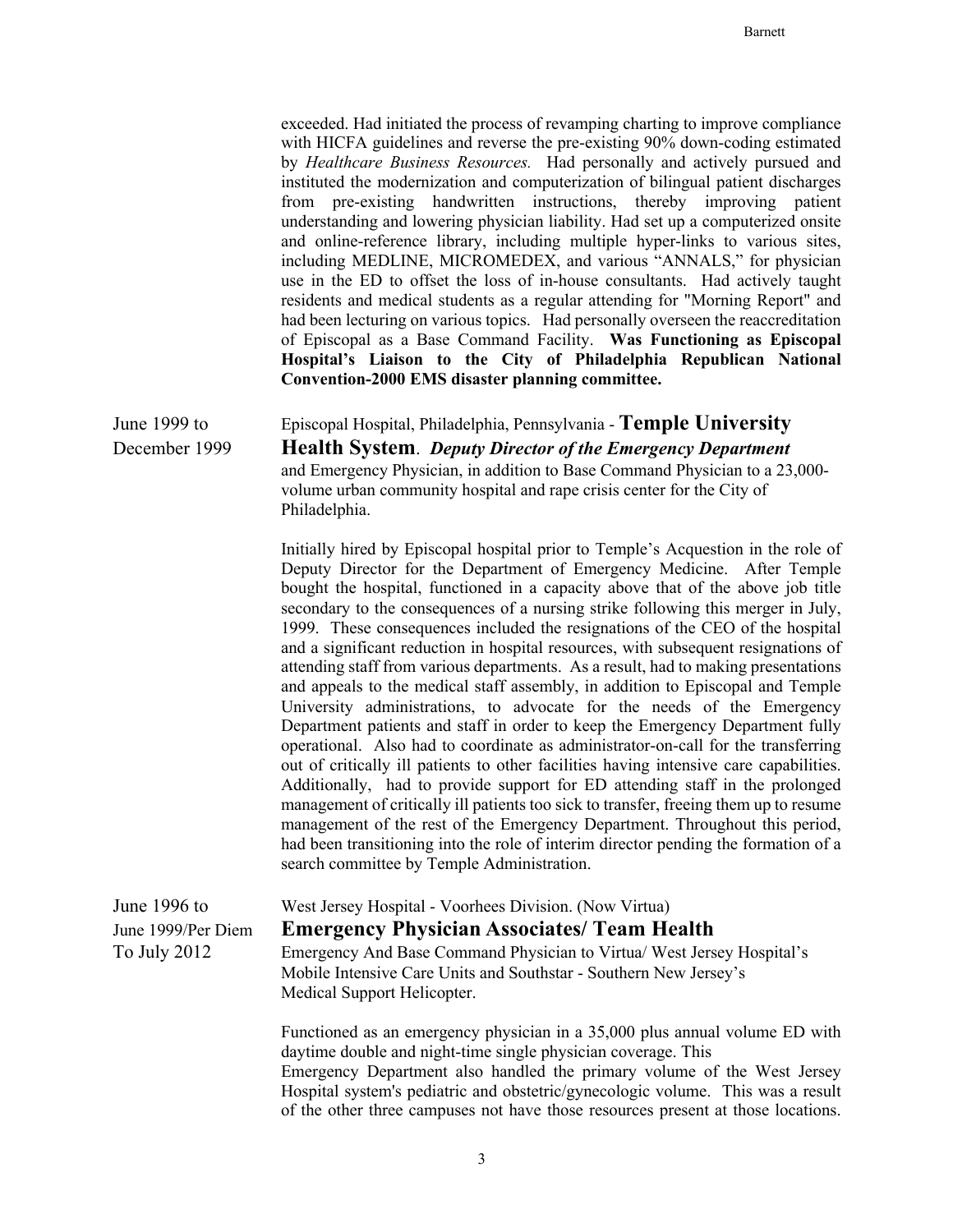exceeded. Had initiated the process of revamping charting to improve compliance with HICFA guidelines and reverse the pre-existing 90% down-coding estimated by *Healthcare Business Resources.* Had personally and actively pursued and instituted the modernization and computerization of bilingual patient discharges from pre-existing handwritten instructions, thereby improving patient understanding and lowering physician liability. Had set up a computerized onsite and online-reference library, including multiple hyper-links to various sites, including MEDLINE, MICROMEDEX, and various "ANNALS," for physician use in the ED to offset the loss of in-house consultants. Had actively taught residents and medical students as a regular attending for "Morning Report" and had been lecturing on various topics. Had personally overseen the reaccreditation of Episcopal as a Base Command Facility. **Was Functioning as Episcopal Hospital's Liaison to the City of Philadelphia Republican National Convention-2000 EMS disaster planning committee.**

June 1999 to Episcopal Hospital, Philadelphia, Pennsylvania - **Temple University** December 1999 **Health System**. *Deputy Director of the Emergency Department* and Emergency Physician, in addition to Base Command Physician to a 23,000 volume urban community hospital and rape crisis center for the City of Philadelphia.

> Initially hired by Episcopal hospital prior to Temple's Acquestion in the role of Deputy Director for the Department of Emergency Medicine. After Temple bought the hospital, functioned in a capacity above that of the above job title secondary to the consequences of a nursing strike following this merger in July, 1999. These consequences included the resignations of the CEO of the hospital and a significant reduction in hospital resources, with subsequent resignations of attending staff from various departments. As a result, had to making presentations and appeals to the medical staff assembly, in addition to Episcopal and Temple University administrations, to advocate for the needs of the Emergency Department patients and staff in order to keep the Emergency Department fully operational. Also had to coordinate as administrator-on-call for the transferring out of critically ill patients to other facilities having intensive care capabilities. Additionally, had to provide support for ED attending staff in the prolonged management of critically ill patients too sick to transfer, freeing them up to resume management of the rest of the Emergency Department. Throughout this period, had been transitioning into the role of interim director pending the formation of a search committee by Temple Administration.

| June $1996$ to     | West Jersey Hospital - Voorhees Division. (Now Virtua)                                                                                                                                                                  |
|--------------------|-------------------------------------------------------------------------------------------------------------------------------------------------------------------------------------------------------------------------|
| June 1999/Per Diem | <b>Emergency Physician Associates/ Team Health</b>                                                                                                                                                                      |
| To July 2012       | Emergency And Base Command Physician to Virtua/ West Jersey Hospital's<br>Mobile Intensive Care Units and Southstar - Southern New Jersey's<br>Medical Support Helicopter.                                              |
|                    | Functioned as an emergency physician in a 35,000 plus annual volume ED with<br>daytime double and night-time single physician coverage. This<br>Emergency Department also handled the primary volume of the West Jersey |

Hospital system's pediatric and obstetric/gynecologic volume. This was a result of the other three campuses not have those resources present at those locations.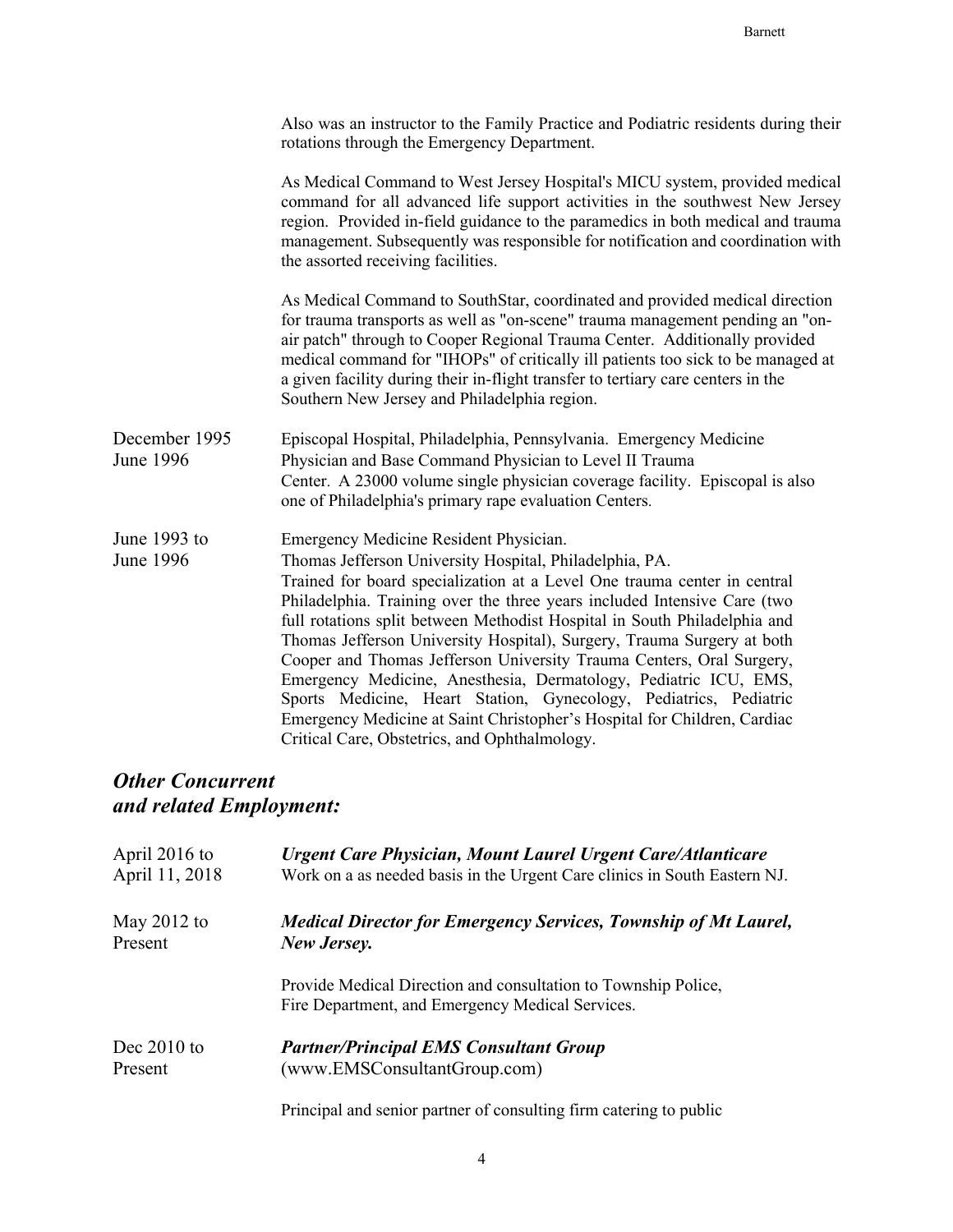|                                   | Also was an instructor to the Family Practice and Podiatric residents during their<br>rotations through the Emergency Department.                                                                                                                                                                                                                                                                                                                                                                                                                                                                                                                                                                                                                              |
|-----------------------------------|----------------------------------------------------------------------------------------------------------------------------------------------------------------------------------------------------------------------------------------------------------------------------------------------------------------------------------------------------------------------------------------------------------------------------------------------------------------------------------------------------------------------------------------------------------------------------------------------------------------------------------------------------------------------------------------------------------------------------------------------------------------|
|                                   | As Medical Command to West Jersey Hospital's MICU system, provided medical<br>command for all advanced life support activities in the southwest New Jersey<br>region. Provided in-field guidance to the paramedics in both medical and trauma<br>management. Subsequently was responsible for notification and coordination with<br>the assorted receiving facilities.                                                                                                                                                                                                                                                                                                                                                                                         |
|                                   | As Medical Command to SouthStar, coordinated and provided medical direction<br>for trauma transports as well as "on-scene" trauma management pending an "on-<br>air patch" through to Cooper Regional Trauma Center. Additionally provided<br>medical command for "IHOPs" of critically ill patients too sick to be managed at<br>a given facility during their in-flight transfer to tertiary care centers in the<br>Southern New Jersey and Philadelphia region.                                                                                                                                                                                                                                                                                             |
| December 1995<br><b>June 1996</b> | Episcopal Hospital, Philadelphia, Pennsylvania. Emergency Medicine<br>Physician and Base Command Physician to Level II Trauma<br>Center. A 23000 volume single physician coverage facility. Episcopal is also<br>one of Philadelphia's primary rape evaluation Centers.                                                                                                                                                                                                                                                                                                                                                                                                                                                                                        |
| June 1993 to<br><b>June 1996</b>  | Emergency Medicine Resident Physician.<br>Thomas Jefferson University Hospital, Philadelphia, PA.<br>Trained for board specialization at a Level One trauma center in central<br>Philadelphia. Training over the three years included Intensive Care (two<br>full rotations split between Methodist Hospital in South Philadelphia and<br>Thomas Jefferson University Hospital), Surgery, Trauma Surgery at both<br>Cooper and Thomas Jefferson University Trauma Centers, Oral Surgery,<br>Emergency Medicine, Anesthesia, Dermatology, Pediatric ICU, EMS,<br>Sports Medicine, Heart Station, Gynecology, Pediatrics, Pediatric<br>Emergency Medicine at Saint Christopher's Hospital for Children, Cardiac<br>Critical Care, Obstetrics, and Ophthalmology. |

## *Other Concurrent and related Employment:*

| April $2016$ to | Urgent Care Physician, Mount Laurel Urgent Care/Atlanticare                                                        |
|-----------------|--------------------------------------------------------------------------------------------------------------------|
| April 11, 2018  | Work on a as needed basis in the Urgent Care clinics in South Eastern NJ.                                          |
| May $2012$ to   | <b>Medical Director for Emergency Services, Township of Mt Laurel,</b>                                             |
| Present         | New Jersey.                                                                                                        |
|                 | Provide Medical Direction and consultation to Township Police,<br>Fire Department, and Emergency Medical Services. |
| Dec $2010$ to   | <b>Partner/Principal EMS Consultant Group</b>                                                                      |
| Present         | (www.EMSConsultantGroup.com)                                                                                       |

Principal and senior partner of consulting firm catering to public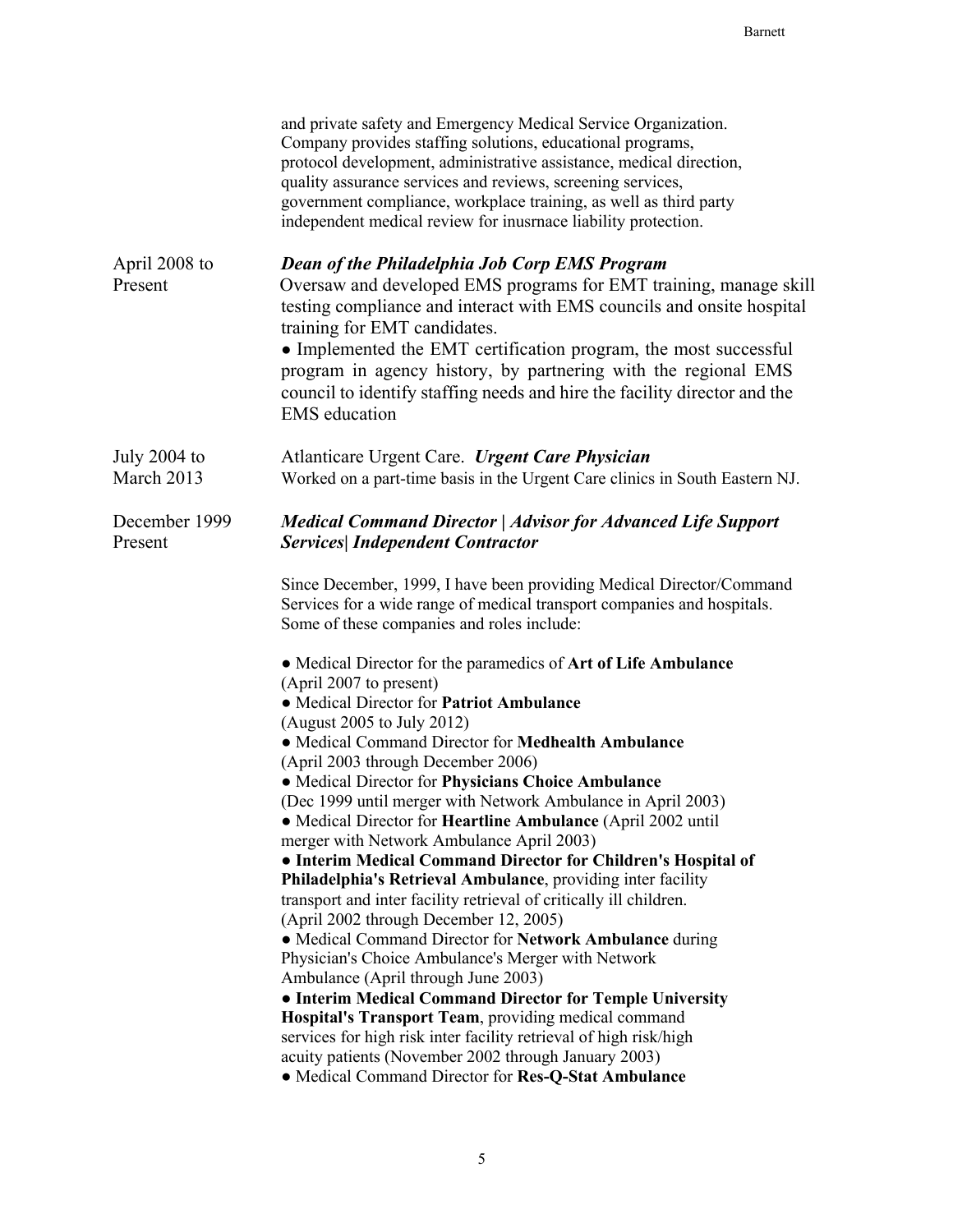|                              | and private safety and Emergency Medical Service Organization.<br>Company provides staffing solutions, educational programs,<br>protocol development, administrative assistance, medical direction,<br>quality assurance services and reviews, screening services,<br>government compliance, workplace training, as well as third party<br>independent medical review for inusrnace liability protection.                                                              |
|------------------------------|------------------------------------------------------------------------------------------------------------------------------------------------------------------------------------------------------------------------------------------------------------------------------------------------------------------------------------------------------------------------------------------------------------------------------------------------------------------------|
| April 2008 to<br>Present     | Dean of the Philadelphia Job Corp EMS Program<br>Oversaw and developed EMS programs for EMT training, manage skill<br>testing compliance and interact with EMS councils and onsite hospital<br>training for EMT candidates.<br>• Implemented the EMT certification program, the most successful<br>program in agency history, by partnering with the regional EMS<br>council to identify staffing needs and hire the facility director and the<br><b>EMS</b> education |
| July $2004$ to<br>March 2013 | Atlanticare Urgent Care. Urgent Care Physician<br>Worked on a part-time basis in the Urgent Care clinics in South Eastern NJ.                                                                                                                                                                                                                                                                                                                                          |
| December 1999<br>Present     | <b>Medical Command Director   Advisor for Advanced Life Support</b><br><b>Services</b> Independent Contractor                                                                                                                                                                                                                                                                                                                                                          |
|                              | Since December, 1999, I have been providing Medical Director/Command<br>Services for a wide range of medical transport companies and hospitals.<br>Some of these companies and roles include:                                                                                                                                                                                                                                                                          |
|                              | • Medical Director for the paramedics of Art of Life Ambulance<br>(April 2007 to present)<br>• Medical Director for Patriot Ambulance                                                                                                                                                                                                                                                                                                                                  |
|                              | (August 2005 to July 2012)<br>• Medical Command Director for Medhealth Ambulance<br>(April 2003 through December 2006)                                                                                                                                                                                                                                                                                                                                                 |
|                              | • Medical Director for Physicians Choice Ambulance                                                                                                                                                                                                                                                                                                                                                                                                                     |
|                              | (Dec 1999 until merger with Network Ambulance in April 2003)                                                                                                                                                                                                                                                                                                                                                                                                           |
|                              | • Medical Director for Heartline Ambulance (April 2002 until<br>merger with Network Ambulance April 2003)                                                                                                                                                                                                                                                                                                                                                              |
|                              | • Interim Medical Command Director for Children's Hospital of                                                                                                                                                                                                                                                                                                                                                                                                          |
|                              | Philadelphia's Retrieval Ambulance, providing inter facility                                                                                                                                                                                                                                                                                                                                                                                                           |
|                              | transport and inter facility retrieval of critically ill children.<br>(April 2002 through December 12, 2005)                                                                                                                                                                                                                                                                                                                                                           |
|                              | • Medical Command Director for Network Ambulance during                                                                                                                                                                                                                                                                                                                                                                                                                |
|                              | Physician's Choice Ambulance's Merger with Network                                                                                                                                                                                                                                                                                                                                                                                                                     |
|                              | Ambulance (April through June 2003)<br>• Interim Medical Command Director for Temple University                                                                                                                                                                                                                                                                                                                                                                        |
|                              | Hospital's Transport Team, providing medical command                                                                                                                                                                                                                                                                                                                                                                                                                   |
|                              | services for high risk inter facility retrieval of high risk/high                                                                                                                                                                                                                                                                                                                                                                                                      |
|                              | acuity patients (November 2002 through January 2003)<br>• Medical Command Director for Res-Q-Stat Ambulance                                                                                                                                                                                                                                                                                                                                                            |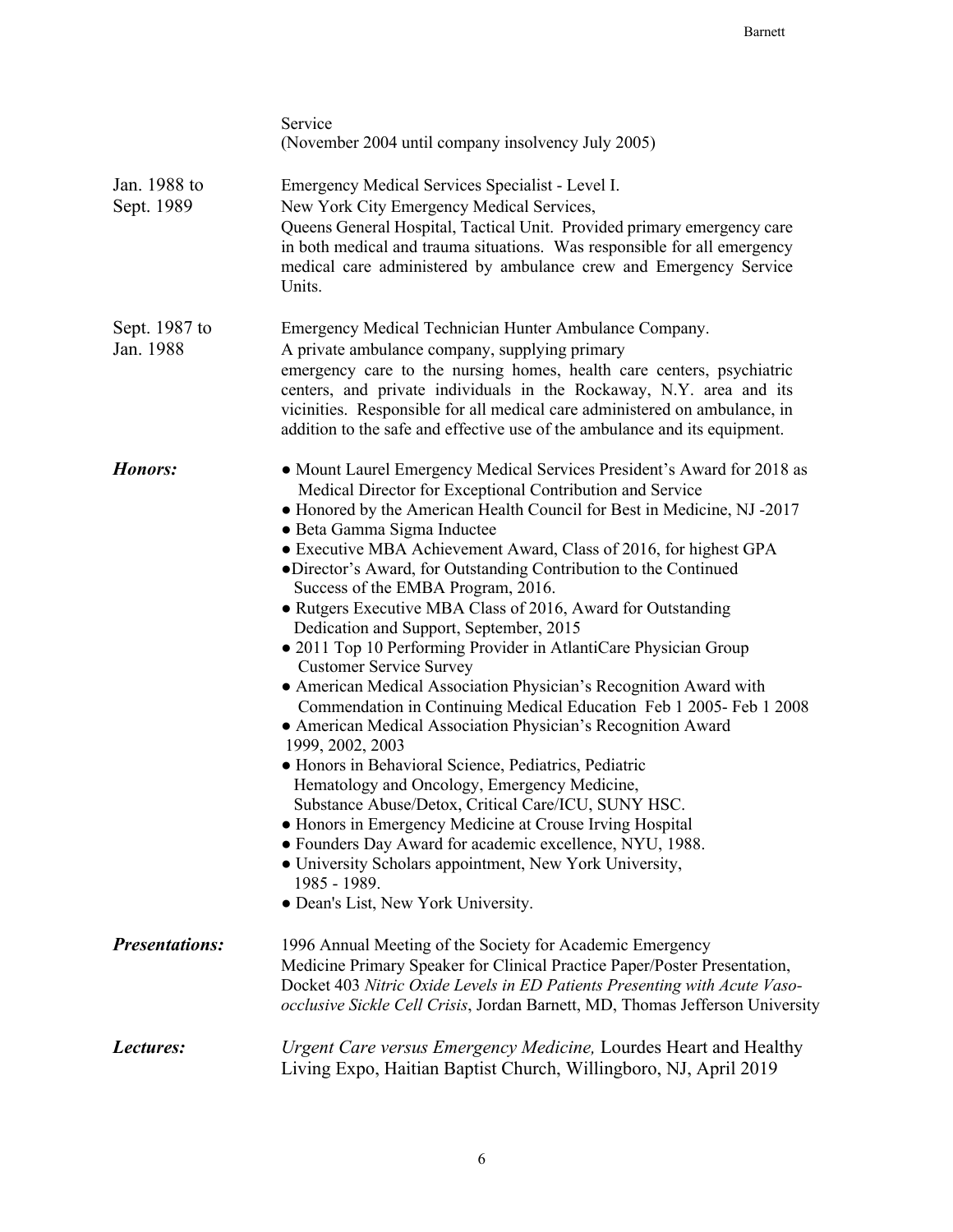|                            | Service<br>(November 2004 until company insolvency July 2005)                                                                                                                                                                                                                                                                                                                                                                                                                                                                                                                                                                                                                                                                                                                                                                                                                                                                                                                                                                                                                                                                                                                                                                                                                            |
|----------------------------|------------------------------------------------------------------------------------------------------------------------------------------------------------------------------------------------------------------------------------------------------------------------------------------------------------------------------------------------------------------------------------------------------------------------------------------------------------------------------------------------------------------------------------------------------------------------------------------------------------------------------------------------------------------------------------------------------------------------------------------------------------------------------------------------------------------------------------------------------------------------------------------------------------------------------------------------------------------------------------------------------------------------------------------------------------------------------------------------------------------------------------------------------------------------------------------------------------------------------------------------------------------------------------------|
| Jan. 1988 to<br>Sept. 1989 | Emergency Medical Services Specialist - Level I.<br>New York City Emergency Medical Services,<br>Queens General Hospital, Tactical Unit. Provided primary emergency care<br>in both medical and trauma situations. Was responsible for all emergency<br>medical care administered by ambulance crew and Emergency Service<br>Units.                                                                                                                                                                                                                                                                                                                                                                                                                                                                                                                                                                                                                                                                                                                                                                                                                                                                                                                                                      |
| Sept. 1987 to<br>Jan. 1988 | Emergency Medical Technician Hunter Ambulance Company.<br>A private ambulance company, supplying primary<br>emergency care to the nursing homes, health care centers, psychiatric<br>centers, and private individuals in the Rockaway, N.Y. area and its<br>vicinities. Responsible for all medical care administered on ambulance, in<br>addition to the safe and effective use of the ambulance and its equipment.                                                                                                                                                                                                                                                                                                                                                                                                                                                                                                                                                                                                                                                                                                                                                                                                                                                                     |
| Honors:                    | • Mount Laurel Emergency Medical Services President's Award for 2018 as<br>Medical Director for Exceptional Contribution and Service<br>• Honored by the American Health Council for Best in Medicine, NJ -2017<br>· Beta Gamma Sigma Inductee<br>• Executive MBA Achievement Award, Class of 2016, for highest GPA<br>•Director's Award, for Outstanding Contribution to the Continued<br>Success of the EMBA Program, 2016.<br>• Rutgers Executive MBA Class of 2016, Award for Outstanding<br>Dedication and Support, September, 2015<br>• 2011 Top 10 Performing Provider in AtlantiCare Physician Group<br><b>Customer Service Survey</b><br>• American Medical Association Physician's Recognition Award with<br>Commendation in Continuing Medical Education Feb 1 2005- Feb 1 2008<br>• American Medical Association Physician's Recognition Award<br>1999, 2002, 2003<br>• Honors in Behavioral Science, Pediatrics, Pediatric<br>Hematology and Oncology, Emergency Medicine,<br>Substance Abuse/Detox, Critical Care/ICU, SUNY HSC.<br>• Honors in Emergency Medicine at Crouse Irving Hospital<br>• Founders Day Award for academic excellence, NYU, 1988.<br>· University Scholars appointment, New York University,<br>1985 - 1989.<br>· Dean's List, New York University. |
| <b>Presentations:</b>      | 1996 Annual Meeting of the Society for Academic Emergency<br>Medicine Primary Speaker for Clinical Practice Paper/Poster Presentation,<br>Docket 403 Nitric Oxide Levels in ED Patients Presenting with Acute Vaso-<br>occlusive Sickle Cell Crisis, Jordan Barnett, MD, Thomas Jefferson University                                                                                                                                                                                                                                                                                                                                                                                                                                                                                                                                                                                                                                                                                                                                                                                                                                                                                                                                                                                     |
| Lectures:                  | <i>Urgent Care versus Emergency Medicine, Lourdes Heart and Healthy</i><br>Living Expo, Haitian Baptist Church, Willingboro, NJ, April 2019                                                                                                                                                                                                                                                                                                                                                                                                                                                                                                                                                                                                                                                                                                                                                                                                                                                                                                                                                                                                                                                                                                                                              |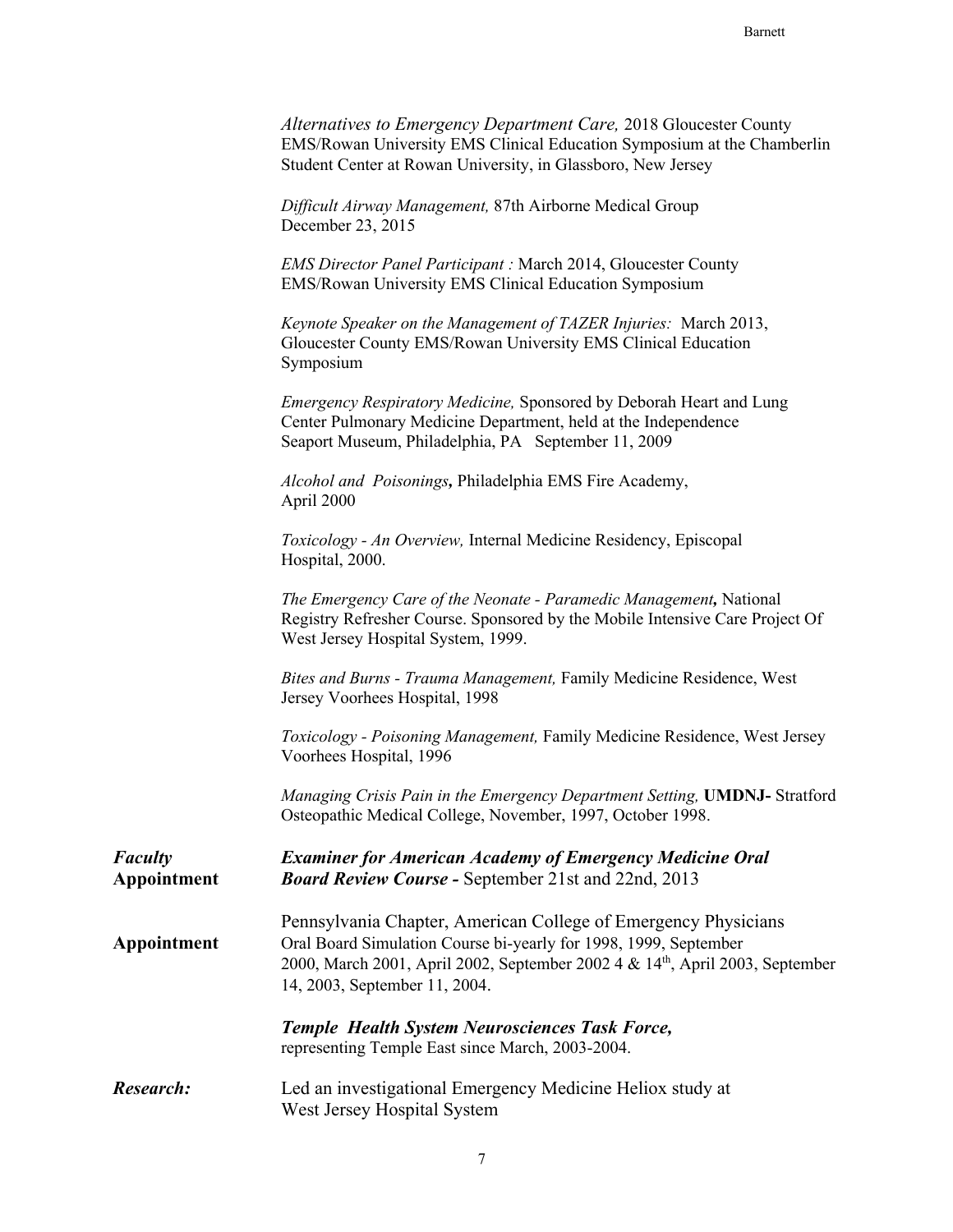| Alternatives to Emergency Department Care, 2018 Gloucester County       |
|-------------------------------------------------------------------------|
| EMS/Rowan University EMS Clinical Education Symposium at the Chamberlin |
| Student Center at Rowan University, in Glassboro, New Jersey            |

*Difficult Airway Management,* 87th Airborne Medical Group December 23, 2015

*EMS Director Panel Participant :* March 2014, Gloucester County EMS/Rowan University EMS Clinical Education Symposium

*Keynote Speaker on the Management of TAZER Injuries:* March 2013, Gloucester County EMS/Rowan University EMS Clinical Education Symposium

*Emergency Respiratory Medicine,* Sponsored by Deborah Heart and Lung Center Pulmonary Medicine Department, held at the Independence Seaport Museum, Philadelphia, PA September 11, 2009

*Alcohol and Poisonings,* Philadelphia EMS Fire Academy, April 2000

*Toxicology - An Overview,* Internal Medicine Residency, Episcopal Hospital, 2000.

*The Emergency Care of the Neonate - Paramedic Management,* National Registry Refresher Course. Sponsored by the Mobile Intensive Care Project Of West Jersey Hospital System, 1999.

*Bites and Burns - Trauma Management,* Family Medicine Residence, West Jersey Voorhees Hospital, 1998

*Toxicology - Poisoning Management,* Family Medicine Residence, West Jersey Voorhees Hospital, 1996

*Managing Crisis Pain in the Emergency Department Setting,* **UMDNJ-** Stratford Osteopathic Medical College, November, 1997, October 1998.

*Faculty Examiner for American Academy of Emergency Medicine Oral* **Appointment** *Board Review Course -* September 21st and 22nd, 2013 Pennsylvania Chapter, American College of Emergency Physicians **Appointment** Oral Board Simulation Course bi-yearly for 1998, 1999, September 2000, March 2001, April 2002, September 2002 4 & 14<sup>th</sup>, April 2003, September 14, 2003, September 11, 2004. *Temple Health System Neurosciences Task Force,* representing Temple East since March, 2003-2004.

## *Research:* Led an investigational Emergency Medicine Heliox study at West Jersey Hospital System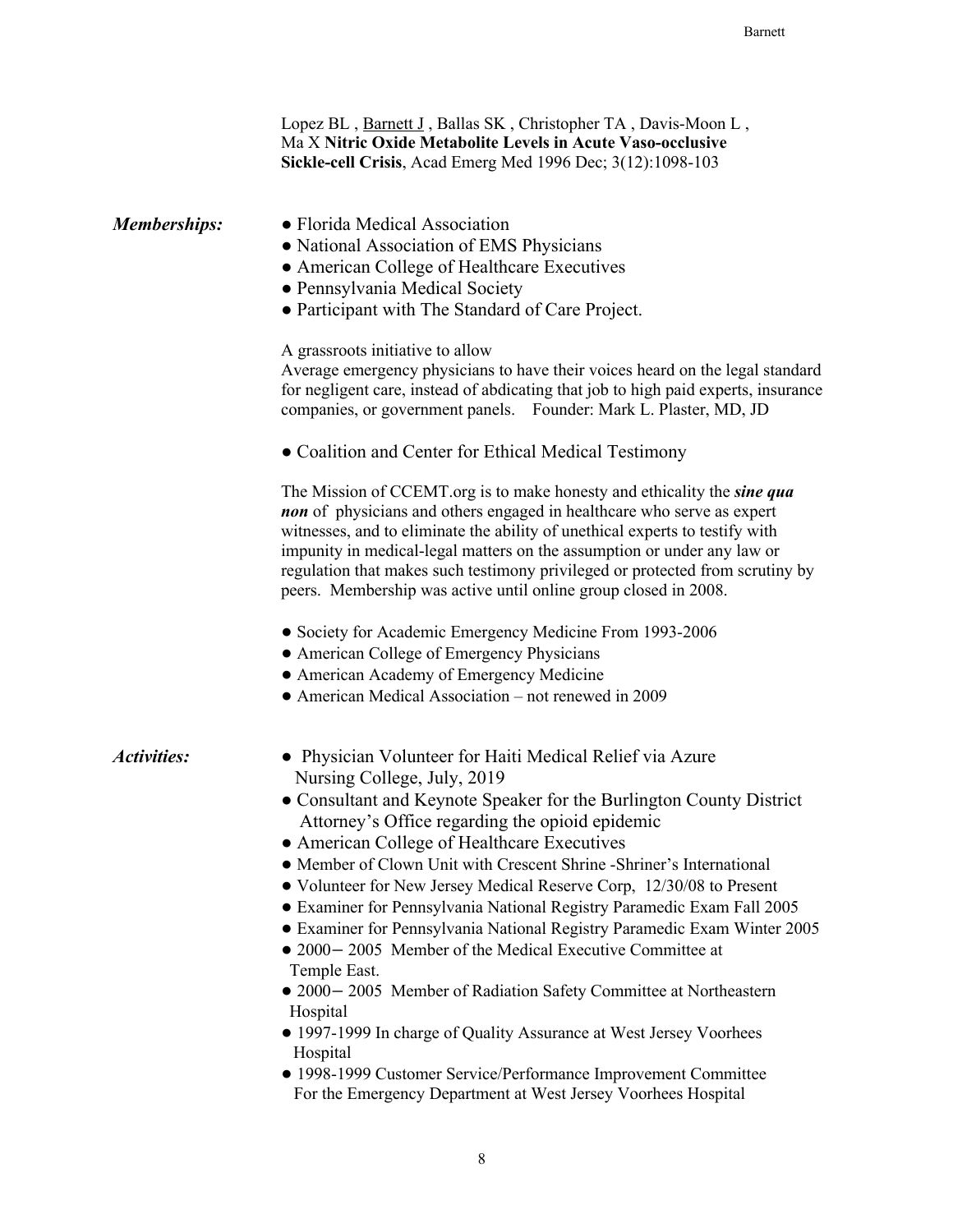|                     | Lopez BL, Barnett J, Ballas SK, Christopher TA, Davis-Moon L,<br>Ma X Nitric Oxide Metabolite Levels in Acute Vaso-occlusive<br>Sickle-cell Crisis, Acad Emerg Med 1996 Dec; 3(12):1098-103                                                                                                                                                                                                                                                                             |
|---------------------|-------------------------------------------------------------------------------------------------------------------------------------------------------------------------------------------------------------------------------------------------------------------------------------------------------------------------------------------------------------------------------------------------------------------------------------------------------------------------|
| <b>Memberships:</b> | • Florida Medical Association<br>• National Association of EMS Physicians<br>• American College of Healthcare Executives<br>• Pennsylvania Medical Society<br>• Participant with The Standard of Care Project.                                                                                                                                                                                                                                                          |
|                     | A grassroots initiative to allow<br>Average emergency physicians to have their voices heard on the legal standard<br>for negligent care, instead of abdicating that job to high paid experts, insurance<br>companies, or government panels. Founder: Mark L. Plaster, MD, JD                                                                                                                                                                                            |
|                     | • Coalition and Center for Ethical Medical Testimony                                                                                                                                                                                                                                                                                                                                                                                                                    |
|                     | The Mission of CCEMT.org is to make honesty and ethicality the <i>sine qua</i><br>non of physicians and others engaged in healthcare who serve as expert<br>witnesses, and to eliminate the ability of unethical experts to testify with<br>impunity in medical-legal matters on the assumption or under any law or<br>regulation that makes such testimony privileged or protected from scrutiny by<br>peers. Membership was active until online group closed in 2008. |
|                     | • Society for Academic Emergency Medicine From 1993-2006                                                                                                                                                                                                                                                                                                                                                                                                                |
|                     | • American College of Emergency Physicians                                                                                                                                                                                                                                                                                                                                                                                                                              |
|                     | • American Academy of Emergency Medicine<br>• American Medical Association – not renewed in 2009                                                                                                                                                                                                                                                                                                                                                                        |
| <b>Activities:</b>  | • Physician Volunteer for Haiti Medical Relief via Azure<br>Nursing College, July, 2019<br>• Consultant and Keynote Speaker for the Burlington County District<br>Attorney's Office regarding the opioid epidemic                                                                                                                                                                                                                                                       |
|                     | • American College of Healthcare Executives<br>• Member of Clown Unit with Crescent Shrine -Shriner's International<br>• Volunteer for New Jersey Medical Reserve Corp, 12/30/08 to Present<br>• Examiner for Pennsylvania National Registry Paramedic Exam Fall 2005<br>• Examiner for Pennsylvania National Registry Paramedic Exam Winter 2005<br>• 2000 - 2005 Member of the Medical Executive Committee at<br>Temple East.                                         |
|                     | • 2000 - 2005 Member of Radiation Safety Committee at Northeastern<br>Hospital                                                                                                                                                                                                                                                                                                                                                                                          |
|                     | • 1997-1999 In charge of Quality Assurance at West Jersey Voorhees<br>Hospital                                                                                                                                                                                                                                                                                                                                                                                          |
|                     | • 1998-1999 Customer Service/Performance Improvement Committee<br>For the Emergency Department at West Jersey Voorhees Hospital                                                                                                                                                                                                                                                                                                                                         |